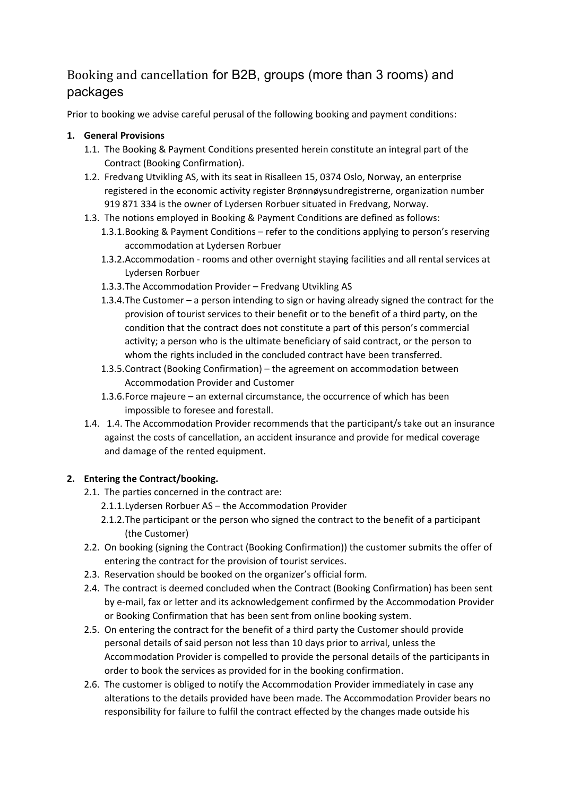# Booking and cancellation for B2B, groups (more than 3 rooms) and packages

Prior to booking we advise careful perusal of the following booking and payment conditions:

## **1. General Provisions**

- 1.1. The Booking & Payment Conditions presented herein constitute an integral part of the Contract (Booking Confirmation).
- 1.2. Fredvang Utvikling AS, with its seat in Risalleen 15, 0374 Oslo, Norway, an enterprise registered in the economic activity register Brønnøysundregistrerne, organization number 919 871 334 is the owner of Lydersen Rorbuer situated in Fredvang, Norway.
- 1.3. The notions employed in Booking & Payment Conditions are defined as follows:
	- 1.3.1.Booking & Payment Conditions refer to the conditions applying to person's reserving accommodation at Lydersen Rorbuer
	- 1.3.2.Accommodation ‐ rooms and other overnight staying facilities and all rental services at Lydersen Rorbuer
	- 1.3.3.The Accommodation Provider Fredvang Utvikling AS
	- 1.3.4.The Customer a person intending to sign or having already signed the contract for the provision of tourist services to their benefit or to the benefit of a third party, on the condition that the contract does not constitute a part of this person's commercial activity; a person who is the ultimate beneficiary of said contract, or the person to whom the rights included in the concluded contract have been transferred.
	- 1.3.5.Contract (Booking Confirmation) the agreement on accommodation between Accommodation Provider and Customer
	- 1.3.6.Force majeure an external circumstance, the occurrence of which has been impossible to foresee and forestall.
- 1.4. 1.4. The Accommodation Provider recommends that the participant/s take out an insurance against the costs of cancellation, an accident insurance and provide for medical coverage and damage of the rented equipment.

## **2. Entering the Contract/booking.**

- 2.1. The parties concerned in the contract are:
	- 2.1.1.Lydersen Rorbuer AS the Accommodation Provider
	- 2.1.2.The participant or the person who signed the contract to the benefit of a participant (the Customer)
- 2.2. On booking (signing the Contract (Booking Confirmation)) the customer submits the offer of entering the contract for the provision of tourist services.
- 2.3. Reservation should be booked on the organizer's official form.
- 2.4. The contract is deemed concluded when the Contract (Booking Confirmation) has been sent by e‐mail, fax or letter and its acknowledgement confirmed by the Accommodation Provider or Booking Confirmation that has been sent from online booking system.
- 2.5. On entering the contract for the benefit of a third party the Customer should provide personal details of said person not less than 10 days prior to arrival, unless the Accommodation Provider is compelled to provide the personal details of the participants in order to book the services as provided for in the booking confirmation.
- 2.6. The customer is obliged to notify the Accommodation Provider immediately in case any alterations to the details provided have been made. The Accommodation Provider bears no responsibility for failure to fulfil the contract effected by the changes made outside his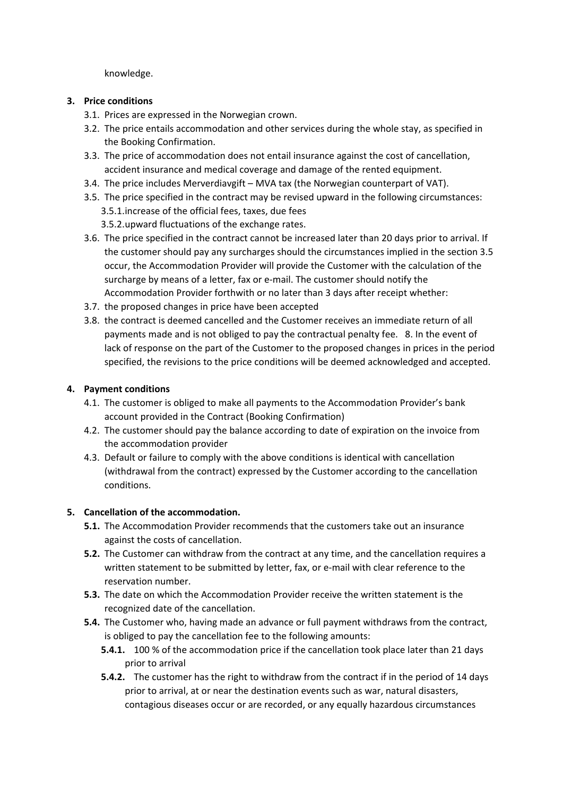knowledge.

#### **3. Price conditions**

- 3.1. Prices are expressed in the Norwegian crown.
- 3.2. The price entails accommodation and other services during the whole stay, as specified in the Booking Confirmation.
- 3.3. The price of accommodation does not entail insurance against the cost of cancellation, accident insurance and medical coverage and damage of the rented equipment.
- 3.4. The price includes Merverdiavgift MVA tax (the Norwegian counterpart of VAT).
- 3.5. The price specified in the contract may be revised upward in the following circumstances: 3.5.1.increase of the official fees, taxes, due fees
	- 3.5.2.upward fluctuations of the exchange rates.
- 3.6. The price specified in the contract cannot be increased later than 20 days prior to arrival. If the customer should pay any surcharges should the circumstances implied in the section 3.5 occur, the Accommodation Provider will provide the Customer with the calculation of the surcharge by means of a letter, fax or e-mail. The customer should notify the Accommodation Provider forthwith or no later than 3 days after receipt whether:
- 3.7. the proposed changes in price have been accepted
- 3.8. the contract is deemed cancelled and the Customer receives an immediate return of all payments made and is not obliged to pay the contractual penalty fee. 8. In the event of lack of response on the part of the Customer to the proposed changes in prices in the period specified, the revisions to the price conditions will be deemed acknowledged and accepted.

### **4. Payment conditions**

- 4.1. The customer is obliged to make all payments to the Accommodation Provider's bank account provided in the Contract (Booking Confirmation)
- 4.2. The customer should pay the balance according to date of expiration on the invoice from the accommodation provider
- 4.3. Default or failure to comply with the above conditions is identical with cancellation (withdrawal from the contract) expressed by the Customer according to the cancellation conditions.

### **5. Cancellation of the accommodation.**

- **5.1.** The Accommodation Provider recommends that the customers take out an insurance against the costs of cancellation.
- **5.2.** The Customer can withdraw from the contract at any time, and the cancellation requires a written statement to be submitted by letter, fax, or e-mail with clear reference to the reservation number.
- **5.3.** The date on which the Accommodation Provider receive the written statement is the recognized date of the cancellation.
- **5.4.** The Customer who, having made an advance or full payment withdraws from the contract, is obliged to pay the cancellation fee to the following amounts:
	- **5.4.1.** 100 % of the accommodation price if the cancellation took place later than 21 days prior to arrival
	- **5.4.2.** The customer has the right to withdraw from the contract if in the period of 14 days prior to arrival, at or near the destination events such as war, natural disasters, contagious diseases occur or are recorded, or any equally hazardous circumstances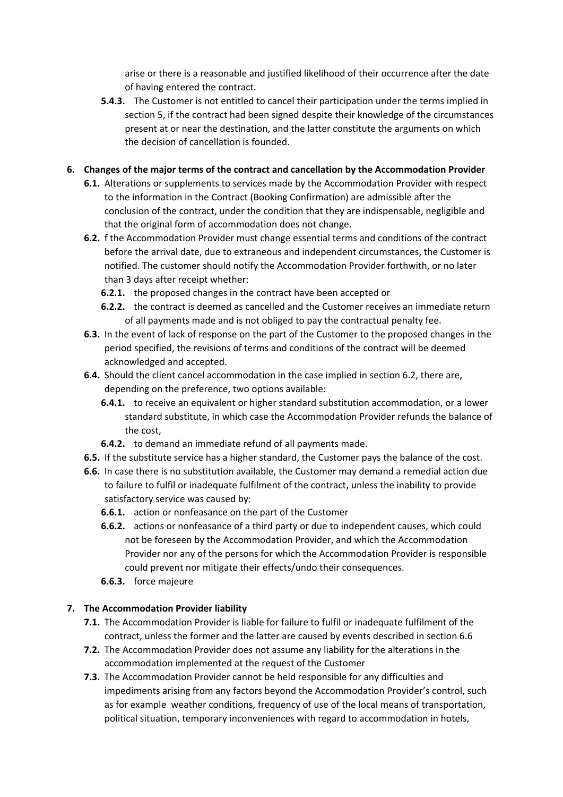arise or there is a reasonable and justified likelihood of their occurrence after the date of having entered the contract.

**5.4.3.** The Customer is not entitled to cancel their participation under the terms implied in section 5, if the contract had been signed despite their knowledge of the circumstances present at or near the destination, and the latter constitute the arguments on which the decision of cancellation is founded.

### **6. Changes of the major terms of the contract and cancellation by the Accommodation Provider**

- **6.1.** Alterations or supplements to services made by the Accommodation Provider with respect to the information in the Contract (Booking Confirmation) are admissible after the conclusion of the contract, under the condition that they are indispensable, negligible and that the original form of accommodation does not change.
- **6.2.** f the Accommodation Provider must change essential terms and conditions of the contract before the arrival date, due to extraneous and independent circumstances, the Customer is notified. The customer should notify the Accommodation Provider forthwith, or no later than 3 days after receipt whether:
	- **6.2.1.** the proposed changes in the contract have been accepted or
	- **6.2.2.** the contract is deemed as cancelled and the Customer receives an immediate return of all payments made and is not obliged to pay the contractual penalty fee.
- **6.3.** In the event of lack of response on the part of the Customer to the proposed changes in the period specified, the revisions of terms and conditions of the contract will be deemed acknowledged and accepted.
- **6.4.** Should the client cancel accommodation in the case implied in section 6.2, there are, depending on the preference, two options available:
	- **6.4.1.** to receive an equivalent or higher standard substitution accommodation, or a lower standard substitute, in which case the Accommodation Provider refunds the balance of the cost,
	- **6.4.2.** to demand an immediate refund of all payments made.
- **6.5.** If the substitute service has a higher standard, the Customer pays the balance of the cost.
- **6.6.** In case there is no substitution available, the Customer may demand a remedial action due to failure to fulfil or inadequate fulfilment of the contract, unless the inability to provide satisfactory service was caused by:
	- **6.6.1.** action or nonfeasance on the part of the Customer
	- **6.6.2.** actions or nonfeasance of a third party or due to independent causes, which could not be foreseen by the Accommodation Provider, and which the Accommodation Provider nor any of the persons for which the Accommodation Provider is responsible could prevent nor mitigate their effects/undo their consequences.
	- **6.6.3.** force majeure

### **7. The Accommodation Provider liability**

- **7.1.** The Accommodation Provider is liable for failure to fulfil or inadequate fulfilment of the contract, unless the former and the latter are caused by events described in section 6.6
- **7.2.** The Accommodation Provider does not assume any liability for the alterations in the accommodation implemented at the request of the Customer
- **7.3.** The Accommodation Provider cannot be held responsible for any difficulties and impediments arising from any factors beyond the Accommodation Provider's control, such as for example weather conditions, frequency of use of the local means of transportation, political situation, temporary inconveniences with regard to accommodation in hotels,